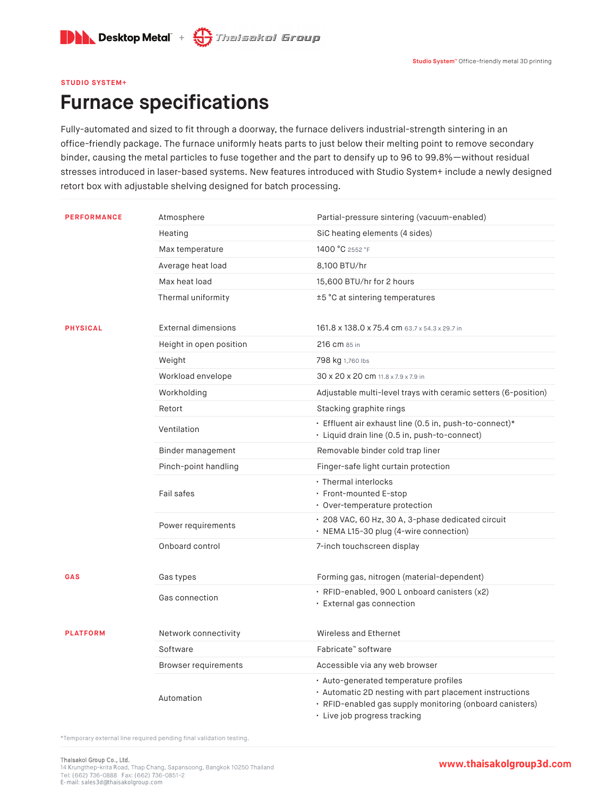

## **STUDIO SYSTEM+**

## **Furnace specifications**

Fully-automated and sized to fit through a doorway, the furnace delivers industrial-strength sintering in an office-friendly package. The furnace uniformly heats parts to just below their melting point to remove secondary binder, causing the metal particles to fuse together and the part to densify up to 96 to 99.8%—without residual stresses introduced in laser-based systems. New features introduced with Studio System+ include a newly designed retort box with adjustable shelving designed for batch processing.

| <b>PERFORMANCE</b> | Atmosphere                  | Partial-pressure sintering (vacuum-enabled)                                                                                                                                                  |
|--------------------|-----------------------------|----------------------------------------------------------------------------------------------------------------------------------------------------------------------------------------------|
|                    | Heating                     | SiC heating elements (4 sides)                                                                                                                                                               |
|                    | Max temperature             | 1400 °C 2552 °F                                                                                                                                                                              |
|                    | Average heat load           | 8,100 BTU/hr                                                                                                                                                                                 |
|                    | Max heat load               | 15,600 BTU/hr for 2 hours                                                                                                                                                                    |
|                    | Thermal uniformity          | ±5 °C at sintering temperatures                                                                                                                                                              |
| <b>PHYSICAL</b>    | <b>External dimensions</b>  | 161.8 x 138.0 x 75.4 cm 63.7 x 54.3 x 29.7 in                                                                                                                                                |
|                    | Height in open position     | 216 cm 85 in                                                                                                                                                                                 |
|                    | Weight                      | 798 kg 1,760 lbs                                                                                                                                                                             |
|                    | Workload envelope           | 30 x 20 x 20 cm 11.8 x 7.9 x 7.9 in                                                                                                                                                          |
|                    | Workholding                 | Adjustable multi-level trays with ceramic setters (6-position)                                                                                                                               |
|                    | Retort                      | Stacking graphite rings                                                                                                                                                                      |
|                    | Ventilation                 | · Effluent air exhaust line (0.5 in, push-to-connect)*<br>· Liquid drain line (0.5 in, push-to-connect)                                                                                      |
|                    | Binder management           | Removable binder cold trap liner                                                                                                                                                             |
|                    | Pinch-point handling        | Finger-safe light curtain protection                                                                                                                                                         |
|                    | Fail safes                  | · Thermal interlocks<br>· Front-mounted E-stop<br>• Over-temperature protection                                                                                                              |
|                    | Power requirements          | · 208 VAC, 60 Hz, 30 A, 3-phase dedicated circuit<br>· NEMA L15-30 plug (4-wire connection)                                                                                                  |
|                    | Onboard control             | 7-inch touchscreen display                                                                                                                                                                   |
| GAS                | Gas types                   | Forming gas, nitrogen (material-dependent)                                                                                                                                                   |
|                    | Gas connection              | · RFID-enabled, 900 L onboard canisters (x2)<br>· External gas connection                                                                                                                    |
| <b>PLATFORM</b>    | Network connectivity        | Wireless and Ethernet                                                                                                                                                                        |
|                    | Software                    | Fabricate™ software                                                                                                                                                                          |
|                    | <b>Browser requirements</b> | Accessible via any web browser                                                                                                                                                               |
|                    | Automation                  | · Auto-generated temperature profiles<br>· Automatic 2D nesting with part placement instructions<br>· RFID-enabled gas supply monitoring (onboard canisters)<br>· Live job progress tracking |

\*Temporary external line required pending final validation testing.